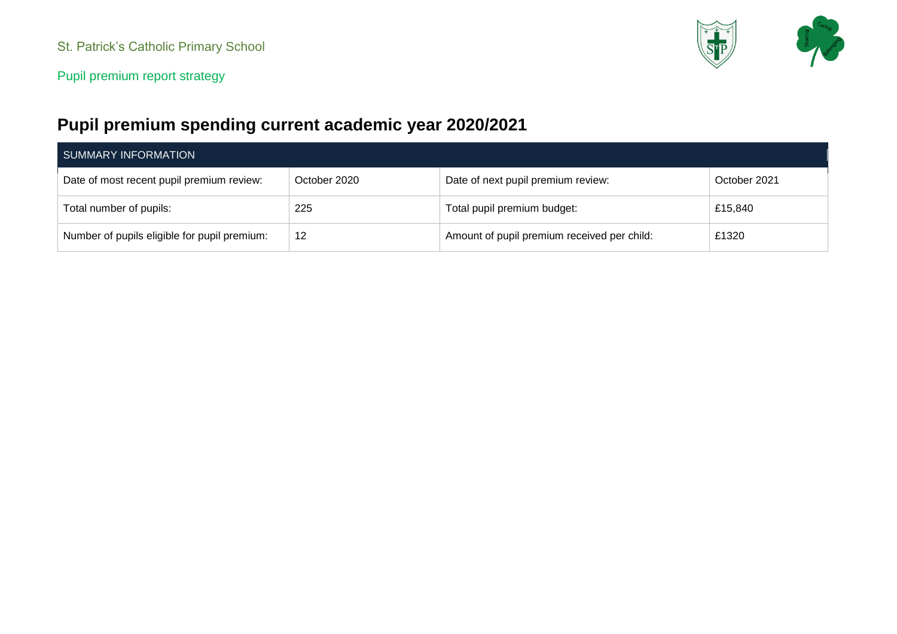

# **Pupil premium spending current academic year 2020/2021**

| SUMMARY INFORMATION                          |              |                                             |              |  |  |
|----------------------------------------------|--------------|---------------------------------------------|--------------|--|--|
| Date of most recent pupil premium review:    | October 2020 | Date of next pupil premium review:          | October 2021 |  |  |
| Total number of pupils:                      | 225          | Total pupil premium budget:                 | £15,840      |  |  |
| Number of pupils eligible for pupil premium: | 12           | Amount of pupil premium received per child: | £1320        |  |  |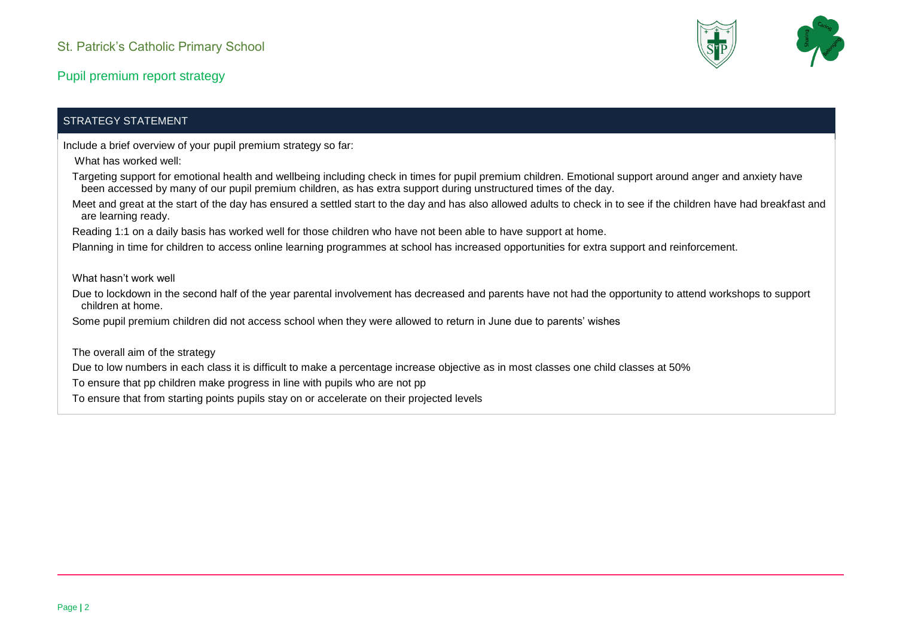

#### STRATEGY STATEMENT

Include a brief overview of your pupil premium strategy so far:

- What has worked well:
- Targeting support for emotional health and wellbeing including check in times for pupil premium children. Emotional support around anger and anxiety have been accessed by many of our pupil premium children, as has extra support during unstructured times of the day.
- Meet and great at the start of the day has ensured a settled start to the day and has also allowed adults to check in to see if the children have had breakfast and are learning ready.
- Reading 1:1 on a daily basis has worked well for those children who have not been able to have support at home.

Planning in time for children to access online learning programmes at school has increased opportunities for extra support and reinforcement.

What hasn't work well

Due to lockdown in the second half of the year parental involvement has decreased and parents have not had the opportunity to attend workshops to support children at home.

Some pupil premium children did not access school when they were allowed to return in June due to parents' wishes

The overall aim of the strategy

Due to low numbers in each class it is difficult to make a percentage increase objective as in most classes one child classes at 50%

To ensure that pp children make progress in line with pupils who are not pp

To ensure that from starting points pupils stay on or accelerate on their projected levels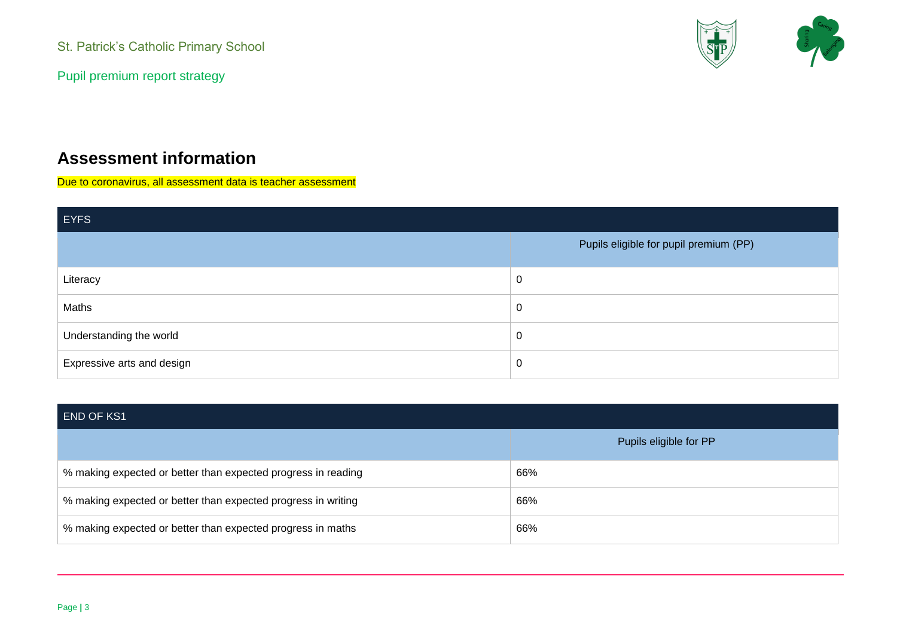Pupil premium report strategy



## **Assessment information**

Due to coronavirus, all assessment data is teacher assessment

| <b>EYFS</b>                |                                        |  |  |  |
|----------------------------|----------------------------------------|--|--|--|
|                            | Pupils eligible for pupil premium (PP) |  |  |  |
| Literacy                   | $\pmb{0}$                              |  |  |  |
| Maths                      | $\mathbf 0$                            |  |  |  |
| Understanding the world    | $\mathbf 0$                            |  |  |  |
| Expressive arts and design | $\pmb{0}$                              |  |  |  |

| <b>END OF KS1</b>                                             |                        |
|---------------------------------------------------------------|------------------------|
|                                                               | Pupils eligible for PP |
| % making expected or better than expected progress in reading | 66%                    |
| % making expected or better than expected progress in writing | 66%                    |
| % making expected or better than expected progress in maths   | 66%                    |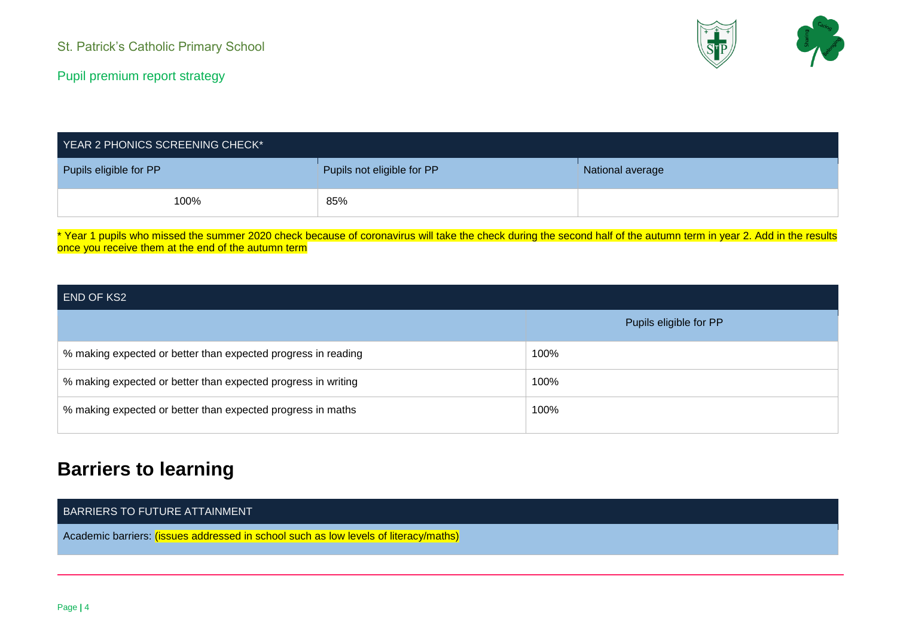

| YEAR 2 PHONICS SCREENING CHECK* |                            |                  |  |
|---------------------------------|----------------------------|------------------|--|
| Pupils eligible for PP          | Pupils not eligible for PP | National average |  |
| 100%                            | 85%                        |                  |  |

\* Year 1 pupils who missed the summer 2020 check because of coronavirus will take the check during the second half of the autumn term in year 2. Add in the results once you receive them at the end of the autumn term

#### END OF KS2

|                                                               | Pupils eligible for PP |
|---------------------------------------------------------------|------------------------|
| % making expected or better than expected progress in reading | 100%                   |
| % making expected or better than expected progress in writing | 100%                   |
| % making expected or better than expected progress in maths   | 100%                   |

# **Barriers to learning**

#### BARRIERS TO FUTURE ATTAINMENT

Academic barriers: (issues addressed in school such as low levels of literacy/maths)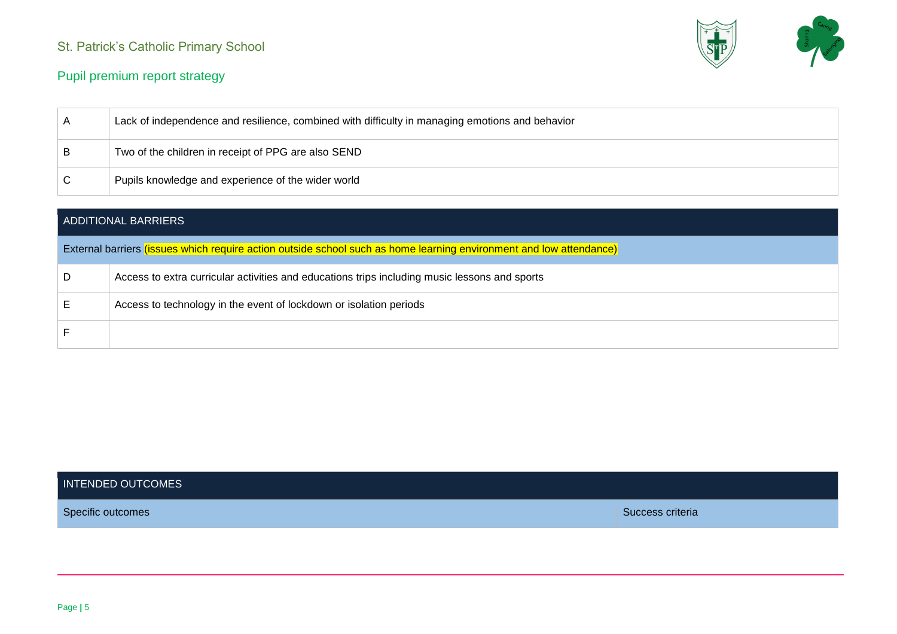

#### Pupil premium report strategy

| A | Lack of independence and resilience, combined with difficulty in managing emotions and behavior |
|---|-------------------------------------------------------------------------------------------------|
| B | Two of the children in receipt of PPG are also SEND                                             |
|   | Pupils knowledge and experience of the wider world                                              |

|   | ADDITIONAL BARRIERS                                                                                                 |
|---|---------------------------------------------------------------------------------------------------------------------|
|   | External barriers (issues which require action outside school such as home learning environment and low attendance) |
| D | Access to extra curricular activities and educations trips including music lessons and sports                       |
|   | Access to technology in the event of lockdown or isolation periods                                                  |
|   |                                                                                                                     |

#### INTENDED OUTCOMES

Specific outcomes Specific outcomes Success criteria Success criteria Success criteria Success criteria Success criteria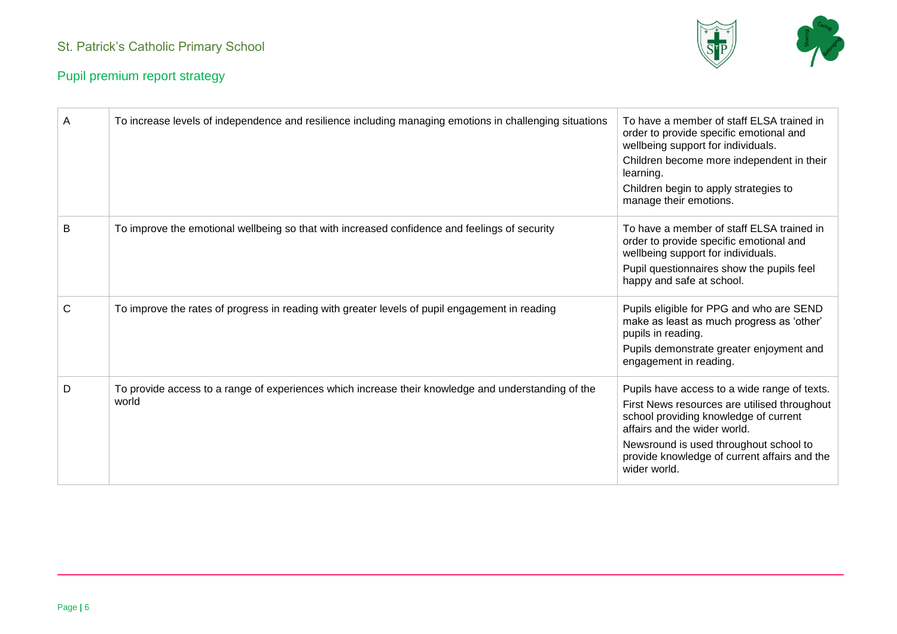

| A            | To increase levels of independence and resilience including managing emotions in challenging situations      | To have a member of staff ELSA trained in<br>order to provide specific emotional and<br>wellbeing support for individuals.<br>Children become more independent in their<br>learning.<br>Children begin to apply strategies to<br>manage their emotions.                         |
|--------------|--------------------------------------------------------------------------------------------------------------|---------------------------------------------------------------------------------------------------------------------------------------------------------------------------------------------------------------------------------------------------------------------------------|
| B            | To improve the emotional wellbeing so that with increased confidence and feelings of security                | To have a member of staff ELSA trained in<br>order to provide specific emotional and<br>wellbeing support for individuals.<br>Pupil questionnaires show the pupils feel<br>happy and safe at school.                                                                            |
| $\mathsf{C}$ | To improve the rates of progress in reading with greater levels of pupil engagement in reading               | Pupils eligible for PPG and who are SEND<br>make as least as much progress as 'other'<br>pupils in reading.<br>Pupils demonstrate greater enjoyment and<br>engagement in reading.                                                                                               |
| D            | To provide access to a range of experiences which increase their knowledge and understanding of the<br>world | Pupils have access to a wide range of texts.<br>First News resources are utilised throughout<br>school providing knowledge of current<br>affairs and the wider world.<br>Newsround is used throughout school to<br>provide knowledge of current affairs and the<br>wider world. |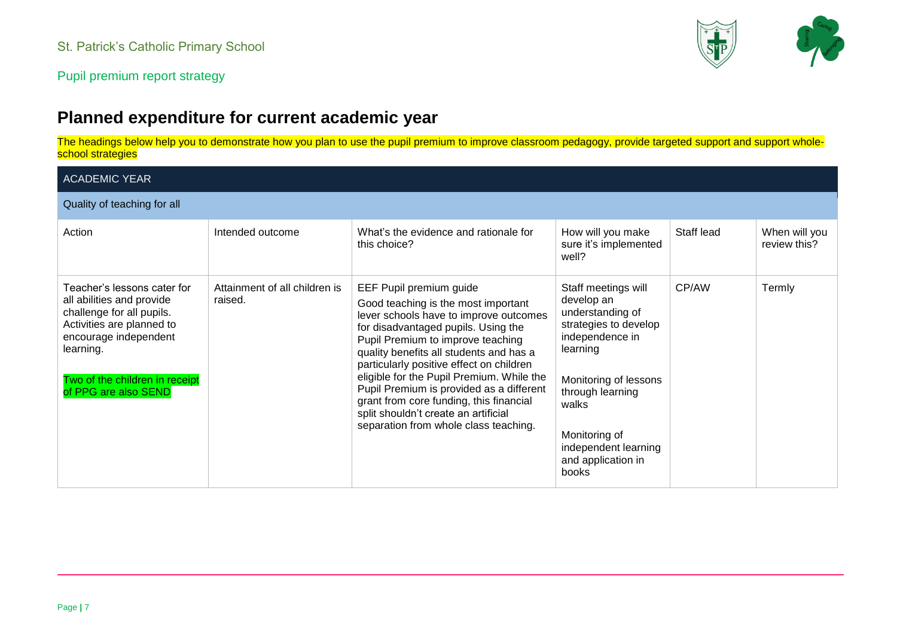

# **Planned expenditure for current academic year**

The headings below help you to demonstrate how you plan to use the pupil premium to improve classroom pedagogy, provide targeted support and support wholeschool strategies

| <b>ACADEMIC YEAR</b>                                                                                                                                                                                               |                                          |                                                                                                                                                                                                                                                                                                                                                                                                                                                                                                  |                                                                                                                                                                                                                                             |            |                               |
|--------------------------------------------------------------------------------------------------------------------------------------------------------------------------------------------------------------------|------------------------------------------|--------------------------------------------------------------------------------------------------------------------------------------------------------------------------------------------------------------------------------------------------------------------------------------------------------------------------------------------------------------------------------------------------------------------------------------------------------------------------------------------------|---------------------------------------------------------------------------------------------------------------------------------------------------------------------------------------------------------------------------------------------|------------|-------------------------------|
| Quality of teaching for all                                                                                                                                                                                        |                                          |                                                                                                                                                                                                                                                                                                                                                                                                                                                                                                  |                                                                                                                                                                                                                                             |            |                               |
| Action                                                                                                                                                                                                             | Intended outcome                         | What's the evidence and rationale for<br>this choice?                                                                                                                                                                                                                                                                                                                                                                                                                                            | How will you make<br>sure it's implemented<br>well?                                                                                                                                                                                         | Staff lead | When will you<br>review this? |
| Teacher's lessons cater for<br>all abilities and provide<br>challenge for all pupils.<br>Activities are planned to<br>encourage independent<br>learning.<br>Two of the children in receipt<br>of PPG are also SEND | Attainment of all children is<br>raised. | EEF Pupil premium guide<br>Good teaching is the most important<br>lever schools have to improve outcomes<br>for disadvantaged pupils. Using the<br>Pupil Premium to improve teaching<br>quality benefits all students and has a<br>particularly positive effect on children<br>eligible for the Pupil Premium. While the<br>Pupil Premium is provided as a different<br>grant from core funding, this financial<br>split shouldn't create an artificial<br>separation from whole class teaching. | Staff meetings will<br>develop an<br>understanding of<br>strategies to develop<br>independence in<br>learning<br>Monitoring of lessons<br>through learning<br>walks<br>Monitoring of<br>independent learning<br>and application in<br>books | CP/AW      | Termly                        |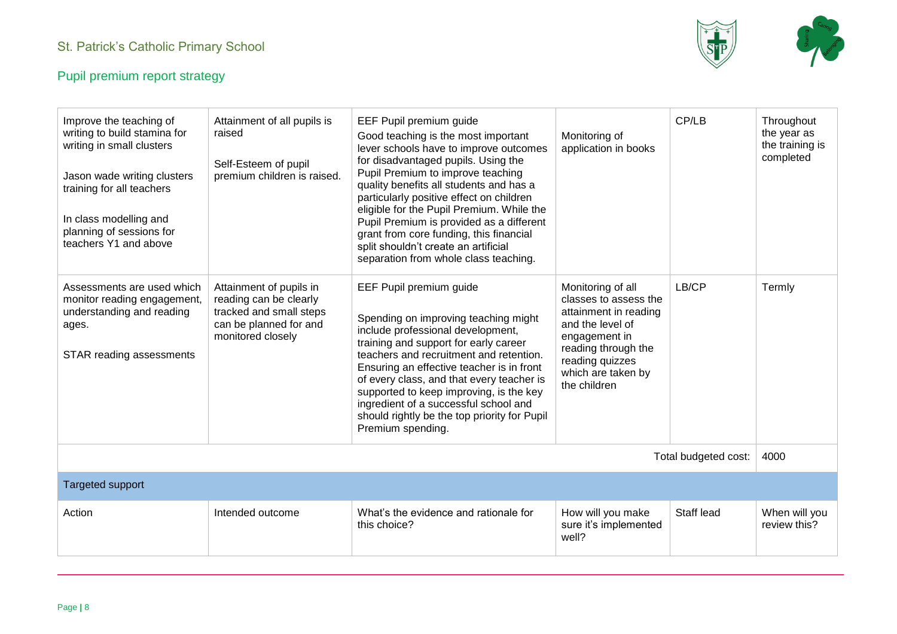

| Improve the teaching of<br>writing to build stamina for<br>writing in small clusters<br>Jason wade writing clusters<br>training for all teachers<br>In class modelling and<br>planning of sessions for<br>teachers Y1 and above | Attainment of all pupils is<br>raised<br>Self-Esteem of pupil<br>premium children is raised.                                | EEF Pupil premium guide<br>Good teaching is the most important<br>lever schools have to improve outcomes<br>for disadvantaged pupils. Using the<br>Pupil Premium to improve teaching<br>quality benefits all students and has a<br>particularly positive effect on children<br>eligible for the Pupil Premium. While the<br>Pupil Premium is provided as a different<br>grant from core funding, this financial<br>split shouldn't create an artificial<br>separation from whole class teaching. | Monitoring of<br>application in books                                                                                                                                                    | CP/LB                | Throughout<br>the year as<br>the training is<br>completed |
|---------------------------------------------------------------------------------------------------------------------------------------------------------------------------------------------------------------------------------|-----------------------------------------------------------------------------------------------------------------------------|--------------------------------------------------------------------------------------------------------------------------------------------------------------------------------------------------------------------------------------------------------------------------------------------------------------------------------------------------------------------------------------------------------------------------------------------------------------------------------------------------|------------------------------------------------------------------------------------------------------------------------------------------------------------------------------------------|----------------------|-----------------------------------------------------------|
| Assessments are used which<br>monitor reading engagement,<br>understanding and reading<br>ages.<br>STAR reading assessments                                                                                                     | Attainment of pupils in<br>reading can be clearly<br>tracked and small steps<br>can be planned for and<br>monitored closely | EEF Pupil premium guide<br>Spending on improving teaching might<br>include professional development,<br>training and support for early career<br>teachers and recruitment and retention.<br>Ensuring an effective teacher is in front<br>of every class, and that every teacher is<br>supported to keep improving, is the key<br>ingredient of a successful school and<br>should rightly be the top priority for Pupil<br>Premium spending.                                                      | Monitoring of all<br>classes to assess the<br>attainment in reading<br>and the level of<br>engagement in<br>reading through the<br>reading quizzes<br>which are taken by<br>the children | LB/CP                | Termly                                                    |
|                                                                                                                                                                                                                                 |                                                                                                                             |                                                                                                                                                                                                                                                                                                                                                                                                                                                                                                  |                                                                                                                                                                                          | Total budgeted cost: | 4000                                                      |
| <b>Targeted support</b>                                                                                                                                                                                                         |                                                                                                                             |                                                                                                                                                                                                                                                                                                                                                                                                                                                                                                  |                                                                                                                                                                                          |                      |                                                           |
| Action                                                                                                                                                                                                                          | Intended outcome                                                                                                            | What's the evidence and rationale for<br>this choice?                                                                                                                                                                                                                                                                                                                                                                                                                                            | How will you make<br>sure it's implemented<br>well?                                                                                                                                      | Staff lead           | When will you<br>review this?                             |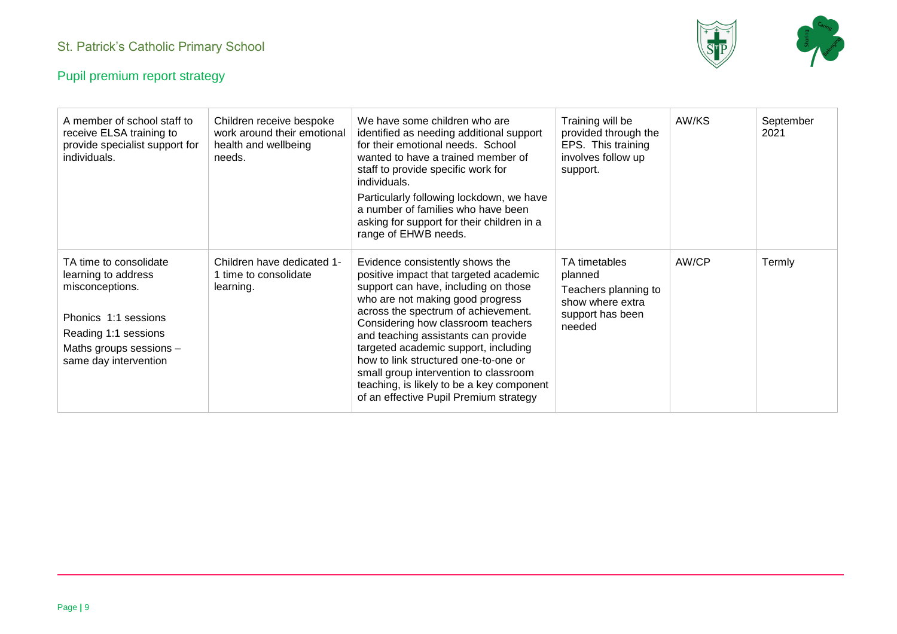

| A member of school staff to<br>receive ELSA training to<br>provide specialist support for<br>individuals.                                                            | Children receive bespoke<br>work around their emotional<br>health and wellbeing<br>needs. | We have some children who are<br>identified as needing additional support<br>for their emotional needs. School<br>wanted to have a trained member of<br>staff to provide specific work for<br>individuals.<br>Particularly following lockdown, we have<br>a number of families who have been<br>asking for support for their children in a<br>range of EHWB needs.                                                                                                                        | Training will be<br>provided through the<br>EPS. This training<br>involves follow up<br>support.   | AW/KS | September<br>2021 |
|----------------------------------------------------------------------------------------------------------------------------------------------------------------------|-------------------------------------------------------------------------------------------|-------------------------------------------------------------------------------------------------------------------------------------------------------------------------------------------------------------------------------------------------------------------------------------------------------------------------------------------------------------------------------------------------------------------------------------------------------------------------------------------|----------------------------------------------------------------------------------------------------|-------|-------------------|
| TA time to consolidate<br>learning to address<br>misconceptions.<br>Phonics 1:1 sessions<br>Reading 1:1 sessions<br>Maths groups sessions -<br>same day intervention | Children have dedicated 1-<br>1 time to consolidate<br>learning.                          | Evidence consistently shows the<br>positive impact that targeted academic<br>support can have, including on those<br>who are not making good progress<br>across the spectrum of achievement.<br>Considering how classroom teachers<br>and teaching assistants can provide<br>targeted academic support, including<br>how to link structured one-to-one or<br>small group intervention to classroom<br>teaching, is likely to be a key component<br>of an effective Pupil Premium strategy | TA timetables<br>planned<br>Teachers planning to<br>show where extra<br>support has been<br>needed | AW/CP | Termly            |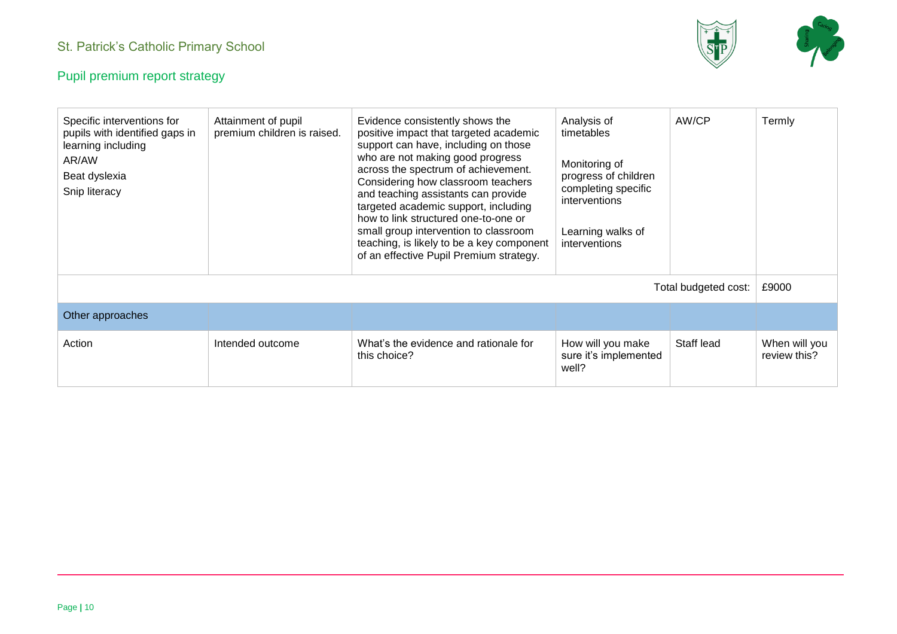

| Specific interventions for<br>pupils with identified gaps in<br>learning including<br>AR/AW<br>Beat dyslexia<br>Snip literacy | Attainment of pupil<br>premium children is raised. | Evidence consistently shows the<br>positive impact that targeted academic<br>support can have, including on those<br>who are not making good progress<br>across the spectrum of achievement.<br>Considering how classroom teachers<br>and teaching assistants can provide<br>targeted academic support, including<br>how to link structured one-to-one or<br>small group intervention to classroom<br>teaching, is likely to be a key component<br>of an effective Pupil Premium strategy. | Analysis of<br>timetables<br>Monitoring of<br>progress of children<br>completing specific<br>interventions<br>Learning walks of<br>interventions | AW/CP                | Termly                        |
|-------------------------------------------------------------------------------------------------------------------------------|----------------------------------------------------|--------------------------------------------------------------------------------------------------------------------------------------------------------------------------------------------------------------------------------------------------------------------------------------------------------------------------------------------------------------------------------------------------------------------------------------------------------------------------------------------|--------------------------------------------------------------------------------------------------------------------------------------------------|----------------------|-------------------------------|
|                                                                                                                               |                                                    |                                                                                                                                                                                                                                                                                                                                                                                                                                                                                            |                                                                                                                                                  | Total budgeted cost: | £9000                         |
| Other approaches                                                                                                              |                                                    |                                                                                                                                                                                                                                                                                                                                                                                                                                                                                            |                                                                                                                                                  |                      |                               |
| Action                                                                                                                        | Intended outcome                                   | What's the evidence and rationale for<br>this choice?                                                                                                                                                                                                                                                                                                                                                                                                                                      | How will you make<br>sure it's implemented<br>well?                                                                                              | Staff lead           | When will you<br>review this? |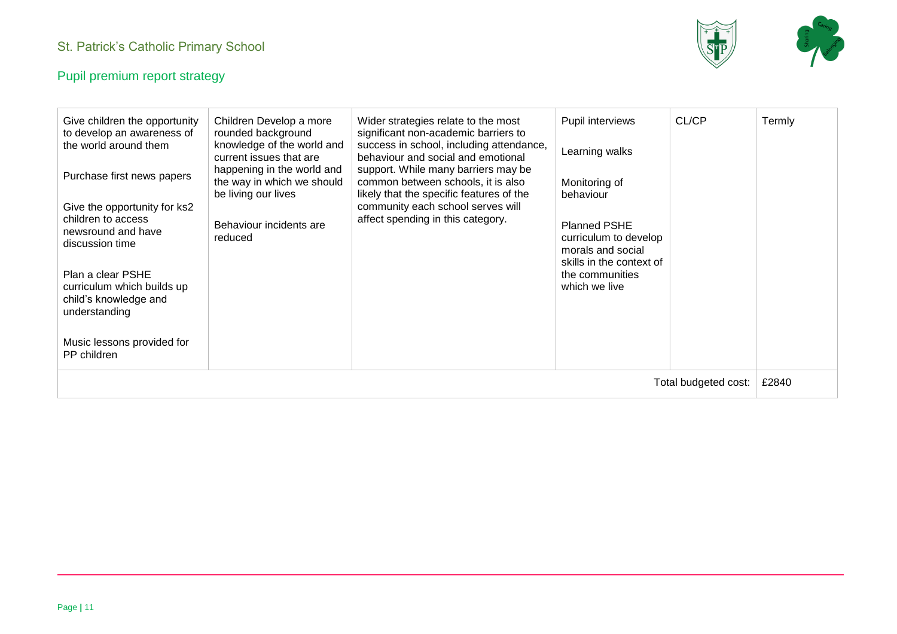

| Give children the opportunity<br>to develop an awareness of<br>the world around them<br>Purchase first news papers<br>Give the opportunity for ks2<br>children to access<br>newsround and have<br>discussion time<br>Plan a clear PSHE<br>curriculum which builds up<br>child's knowledge and<br>understanding<br>Music lessons provided for<br>PP children | Children Develop a more<br>rounded background<br>knowledge of the world and<br>current issues that are<br>happening in the world and<br>the way in which we should<br>be living our lives<br>Behaviour incidents are<br>reduced | Wider strategies relate to the most<br>significant non-academic barriers to<br>success in school, including attendance,<br>behaviour and social and emotional<br>support. While many barriers may be<br>common between schools, it is also<br>likely that the specific features of the<br>community each school serves will<br>affect spending in this category. | Pupil interviews<br>Learning walks<br>Monitoring of<br>behaviour<br><b>Planned PSHE</b><br>curriculum to develop<br>morals and social<br>skills in the context of<br>the communities<br>which we live | CL/CP | Termly |
|-------------------------------------------------------------------------------------------------------------------------------------------------------------------------------------------------------------------------------------------------------------------------------------------------------------------------------------------------------------|---------------------------------------------------------------------------------------------------------------------------------------------------------------------------------------------------------------------------------|------------------------------------------------------------------------------------------------------------------------------------------------------------------------------------------------------------------------------------------------------------------------------------------------------------------------------------------------------------------|-------------------------------------------------------------------------------------------------------------------------------------------------------------------------------------------------------|-------|--------|
| Total budgeted cost:                                                                                                                                                                                                                                                                                                                                        |                                                                                                                                                                                                                                 |                                                                                                                                                                                                                                                                                                                                                                  |                                                                                                                                                                                                       | £2840 |        |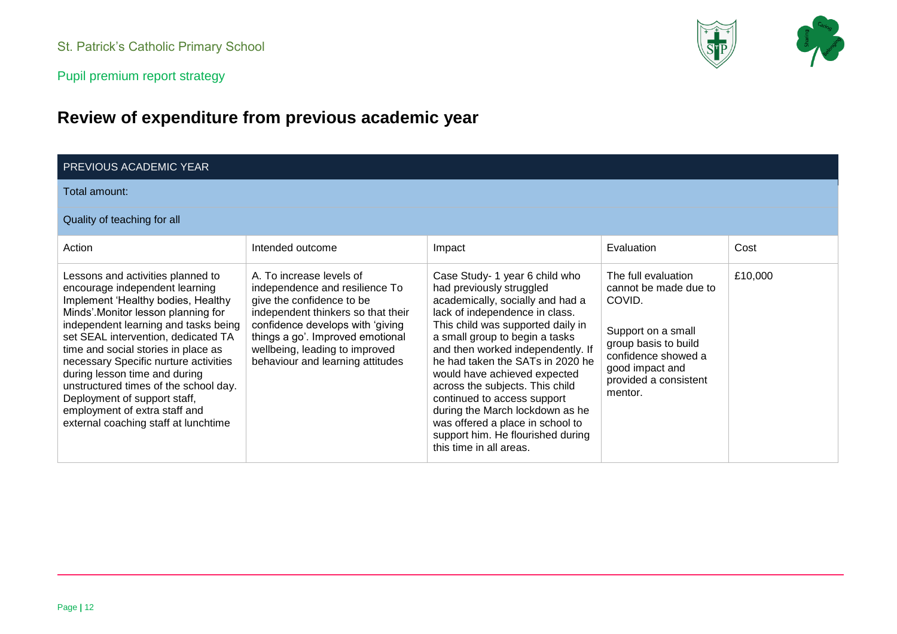Pupil premium report strategy

# **Review of expenditure from previous academic year**

| <b>PREVIOUS ACADEMIC YEAR</b>                                                                                                                                                                                                                                                                                                                                                                                                                                                                     |                                                                                                                                                                                                                                                                             |                                                                                                                                                                                                                                                                                                                                                                                                                                                                                                                           |                                                                                                                                                                                    |         |
|---------------------------------------------------------------------------------------------------------------------------------------------------------------------------------------------------------------------------------------------------------------------------------------------------------------------------------------------------------------------------------------------------------------------------------------------------------------------------------------------------|-----------------------------------------------------------------------------------------------------------------------------------------------------------------------------------------------------------------------------------------------------------------------------|---------------------------------------------------------------------------------------------------------------------------------------------------------------------------------------------------------------------------------------------------------------------------------------------------------------------------------------------------------------------------------------------------------------------------------------------------------------------------------------------------------------------------|------------------------------------------------------------------------------------------------------------------------------------------------------------------------------------|---------|
| Total amount:                                                                                                                                                                                                                                                                                                                                                                                                                                                                                     |                                                                                                                                                                                                                                                                             |                                                                                                                                                                                                                                                                                                                                                                                                                                                                                                                           |                                                                                                                                                                                    |         |
| Quality of teaching for all                                                                                                                                                                                                                                                                                                                                                                                                                                                                       |                                                                                                                                                                                                                                                                             |                                                                                                                                                                                                                                                                                                                                                                                                                                                                                                                           |                                                                                                                                                                                    |         |
| Action                                                                                                                                                                                                                                                                                                                                                                                                                                                                                            | Intended outcome                                                                                                                                                                                                                                                            | Impact                                                                                                                                                                                                                                                                                                                                                                                                                                                                                                                    | Evaluation                                                                                                                                                                         | Cost    |
| Lessons and activities planned to<br>encourage independent learning<br>Implement 'Healthy bodies, Healthy<br>Minds'.Monitor lesson planning for<br>independent learning and tasks being<br>set SEAL intervention, dedicated TA<br>time and social stories in place as<br>necessary Specific nurture activities<br>during lesson time and during<br>unstructured times of the school day.<br>Deployment of support staff,<br>employment of extra staff and<br>external coaching staff at lunchtime | A. To increase levels of<br>independence and resilience To<br>give the confidence to be<br>independent thinkers so that their<br>confidence develops with 'giving<br>things a go'. Improved emotional<br>wellbeing, leading to improved<br>behaviour and learning attitudes | Case Study- 1 year 6 child who<br>had previously struggled<br>academically, socially and had a<br>lack of independence in class.<br>This child was supported daily in<br>a small group to begin a tasks<br>and then worked independently. If<br>he had taken the SATs in 2020 he<br>would have achieved expected<br>across the subjects. This child<br>continued to access support<br>during the March lockdown as he<br>was offered a place in school to<br>support him. He flourished during<br>this time in all areas. | The full evaluation<br>cannot be made due to<br>COVID.<br>Support on a small<br>group basis to build<br>confidence showed a<br>good impact and<br>provided a consistent<br>mentor. | £10,000 |

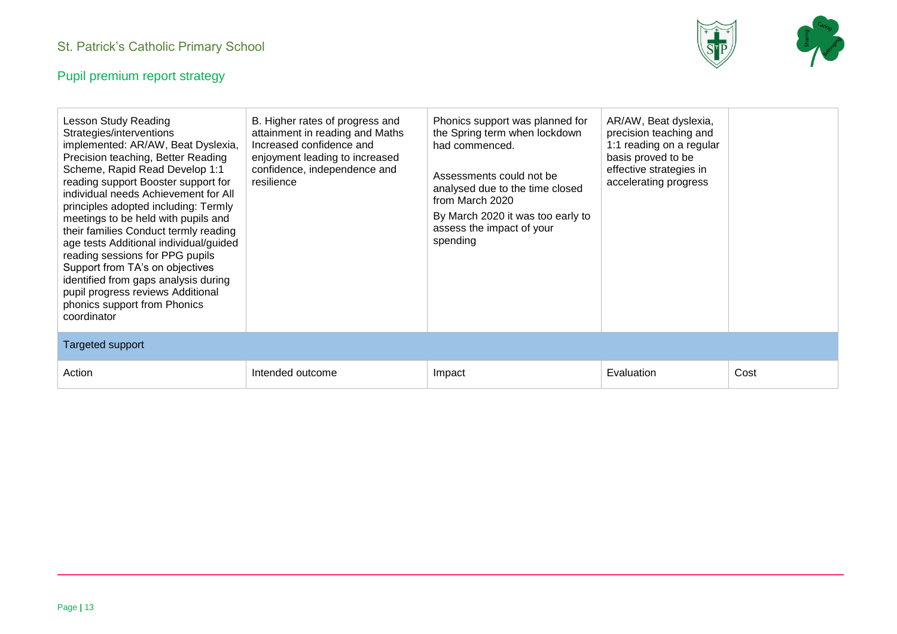

| Lesson Study Reading<br>Strategies/interventions<br>implemented: AR/AW, Beat Dyslexia,<br>Precision teaching, Better Reading<br>Scheme, Rapid Read Develop 1:1<br>reading support Booster support for<br>individual needs Achievement for All<br>principles adopted including: Termly<br>meetings to be held with pupils and<br>their families Conduct termly reading<br>age tests Additional individual/guided<br>reading sessions for PPG pupils<br>Support from TA's on objectives<br>identified from gaps analysis during<br>pupil progress reviews Additional<br>phonics support from Phonics<br>coordinator | B. Higher rates of progress and<br>attainment in reading and Maths<br>Increased confidence and<br>enjoyment leading to increased<br>confidence, independence and<br>resilience | Phonics support was planned for<br>the Spring term when lockdown<br>had commenced.<br>Assessments could not be<br>analysed due to the time closed<br>from March 2020<br>By March 2020 it was too early to<br>assess the impact of your<br>spending | AR/AW, Beat dyslexia,<br>precision teaching and<br>1:1 reading on a regular<br>basis proved to be<br>effective strategies in<br>accelerating progress |      |
|-------------------------------------------------------------------------------------------------------------------------------------------------------------------------------------------------------------------------------------------------------------------------------------------------------------------------------------------------------------------------------------------------------------------------------------------------------------------------------------------------------------------------------------------------------------------------------------------------------------------|--------------------------------------------------------------------------------------------------------------------------------------------------------------------------------|----------------------------------------------------------------------------------------------------------------------------------------------------------------------------------------------------------------------------------------------------|-------------------------------------------------------------------------------------------------------------------------------------------------------|------|
| <b>Targeted support</b>                                                                                                                                                                                                                                                                                                                                                                                                                                                                                                                                                                                           |                                                                                                                                                                                |                                                                                                                                                                                                                                                    |                                                                                                                                                       |      |
| Action                                                                                                                                                                                                                                                                                                                                                                                                                                                                                                                                                                                                            | Intended outcome                                                                                                                                                               | Impact                                                                                                                                                                                                                                             | Evaluation                                                                                                                                            | Cost |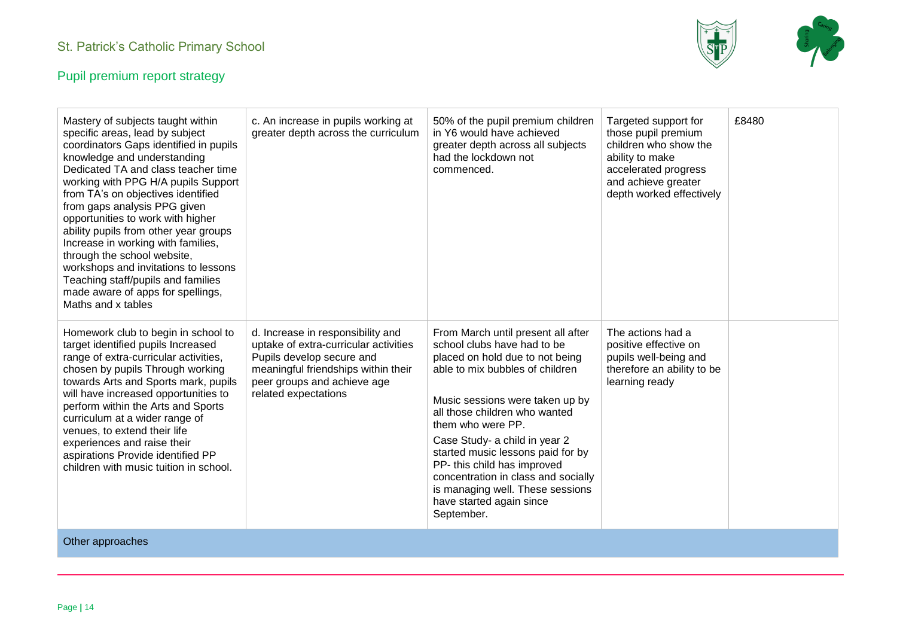

| Mastery of subjects taught within<br>specific areas, lead by subject<br>coordinators Gaps identified in pupils<br>knowledge and understanding<br>Dedicated TA and class teacher time<br>working with PPG H/A pupils Support<br>from TA's on objectives identified<br>from gaps analysis PPG given<br>opportunities to work with higher<br>ability pupils from other year groups<br>Increase in working with families,<br>through the school website,<br>workshops and invitations to lessons<br>Teaching staff/pupils and families<br>made aware of apps for spellings,<br>Maths and x tables | c. An increase in pupils working at<br>greater depth across the curriculum                                                                                                                            | 50% of the pupil premium children<br>in Y6 would have achieved<br>greater depth across all subjects<br>had the lockdown not<br>commenced.                                                                                                                                                                                                                                                                                                                  | Targeted support for<br>those pupil premium<br>children who show the<br>ability to make<br>accelerated progress<br>and achieve greater<br>depth worked effectively | £8480 |
|-----------------------------------------------------------------------------------------------------------------------------------------------------------------------------------------------------------------------------------------------------------------------------------------------------------------------------------------------------------------------------------------------------------------------------------------------------------------------------------------------------------------------------------------------------------------------------------------------|-------------------------------------------------------------------------------------------------------------------------------------------------------------------------------------------------------|------------------------------------------------------------------------------------------------------------------------------------------------------------------------------------------------------------------------------------------------------------------------------------------------------------------------------------------------------------------------------------------------------------------------------------------------------------|--------------------------------------------------------------------------------------------------------------------------------------------------------------------|-------|
| Homework club to begin in school to<br>target identified pupils Increased<br>range of extra-curricular activities,<br>chosen by pupils Through working<br>towards Arts and Sports mark, pupils<br>will have increased opportunities to<br>perform within the Arts and Sports<br>curriculum at a wider range of<br>venues, to extend their life<br>experiences and raise their<br>aspirations Provide identified PP<br>children with music tuition in school.                                                                                                                                  | d. Increase in responsibility and<br>uptake of extra-curricular activities<br>Pupils develop secure and<br>meaningful friendships within their<br>peer groups and achieve age<br>related expectations | From March until present all after<br>school clubs have had to be<br>placed on hold due to not being<br>able to mix bubbles of children<br>Music sessions were taken up by<br>all those children who wanted<br>them who were PP.<br>Case Study- a child in year 2<br>started music lessons paid for by<br>PP- this child has improved<br>concentration in class and socially<br>is managing well. These sessions<br>have started again since<br>September. | The actions had a<br>positive effective on<br>pupils well-being and<br>therefore an ability to be<br>learning ready                                                |       |
| Other approaches                                                                                                                                                                                                                                                                                                                                                                                                                                                                                                                                                                              |                                                                                                                                                                                                       |                                                                                                                                                                                                                                                                                                                                                                                                                                                            |                                                                                                                                                                    |       |